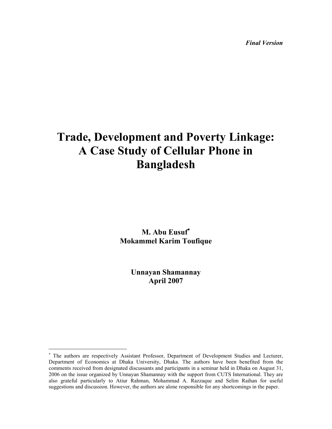Final Version

# Trade, Development and Poverty Linkage: A Case Study of Cellular Phone in Bangladesh

M. Abu Eusuf<sup>\*</sup> Mokammel Karim Toufique

> Unnayan Shamannay April 2007

<u>.</u>

<sup>∗</sup> The authors are respectively Assistant Professor, Department of Development Studies and Lecturer, Department of Economics at Dhaka University, Dhaka. The authors have been benefited from the comments received from designated discussants and participants in a seminar held in Dhaka on August 31, 2006 on the issue organized by Unnayan Shamannay with the support from CUTS International. They are also grateful particularly to Atiur Rahman, Mohammad A. Razzaque and Selim Raihan for useful suggestions and discussion. However, the authors are alone responsible for any shortcomings in the paper.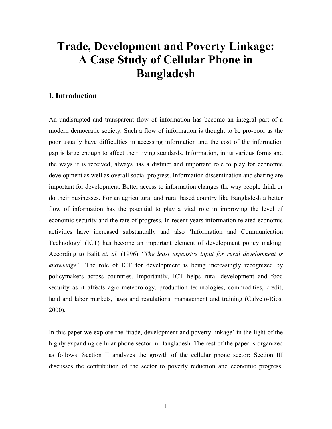# Trade, Development and Poverty Linkage: A Case Study of Cellular Phone in Bangladesh

# I. Introduction

An undisrupted and transparent flow of information has become an integral part of a modern democratic society. Such a flow of information is thought to be pro-poor as the poor usually have difficulties in accessing information and the cost of the information gap is large enough to affect their living standards. Information, in its various forms and the ways it is received, always has a distinct and important role to play for economic development as well as overall social progress. Information dissemination and sharing are important for development. Better access to information changes the way people think or do their businesses. For an agricultural and rural based country like Bangladesh a better flow of information has the potential to play a vital role in improving the level of economic security and the rate of progress. In recent years information related economic activities have increased substantially and also 'Information and Communication Technology' (ICT) has become an important element of development policy making. According to Balit et. al. (1996) "The least expensive input for rural development is knowledge". The role of ICT for development is being increasingly recognized by policymakers across countries. Importantly, ICT helps rural development and food security as it affects agro-meteorology, production technologies, commodities, credit, land and labor markets, laws and regulations, management and training (Calvelo-Rios, 2000).

In this paper we explore the 'trade, development and poverty linkage' in the light of the highly expanding cellular phone sector in Bangladesh. The rest of the paper is organized as follows: Section II analyzes the growth of the cellular phone sector; Section III discusses the contribution of the sector to poverty reduction and economic progress;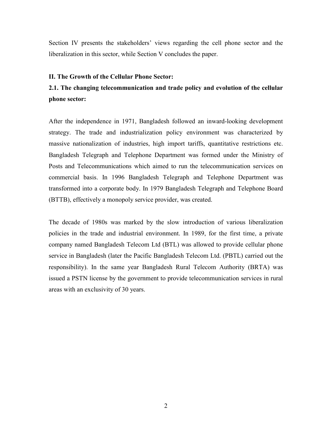Section IV presents the stakeholders' views regarding the cell phone sector and the liberalization in this sector, while Section V concludes the paper.

#### II. The Growth of the Cellular Phone Sector:

# 2.1. The changing telecommunication and trade policy and evolution of the cellular phone sector:

After the independence in 1971, Bangladesh followed an inward-looking development strategy. The trade and industrialization policy environment was characterized by massive nationalization of industries, high import tariffs, quantitative restrictions etc. Bangladesh Telegraph and Telephone Department was formed under the Ministry of Posts and Telecommunications which aimed to run the telecommunication services on commercial basis. In 1996 Bangladesh Telegraph and Telephone Department was transformed into a corporate body. In 1979 Bangladesh Telegraph and Telephone Board (BTTB), effectively a monopoly service provider, was created.

The decade of 1980s was marked by the slow introduction of various liberalization policies in the trade and industrial environment. In 1989, for the first time, a private company named Bangladesh Telecom Ltd (BTL) was allowed to provide cellular phone service in Bangladesh (later the Pacific Bangladesh Telecom Ltd. (PBTL) carried out the responsibility). In the same year Bangladesh Rural Telecom Authority (BRTA) was issued a PSTN license by the government to provide telecommunication services in rural areas with an exclusivity of 30 years.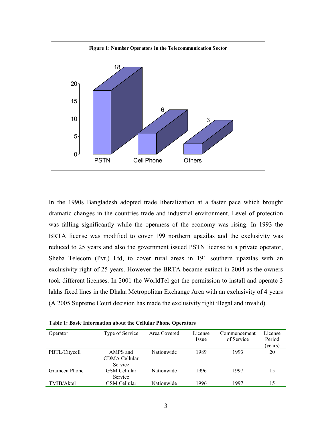

In the 1990s Bangladesh adopted trade liberalization at a faster pace which brought dramatic changes in the countries trade and industrial environment. Level of protection was falling significantly while the openness of the economy was rising. In 1993 the BRTA license was modified to cover 199 northern upazilas and the exclusivity was reduced to 25 years and also the government issued PSTN license to a private operator, Sheba Telecom (Pvt.) Ltd, to cover rural areas in 191 southern upazilas with an exclusivity right of 25 years. However the BRTA became extinct in 2004 as the owners took different licenses. In 2001 the WorldTel got the permission to install and operate 3 lakhs fixed lines in the Dhaka Metropolitan Exchange Area with an exclusivity of 4 years (A 2005 Supreme Court decision has made the exclusivity right illegal and invalid).

| Operator      | Type of Service                             | Area Covered      | License<br>Issue | Commencement<br>of Service | License<br>Period<br>(years) |
|---------------|---------------------------------------------|-------------------|------------------|----------------------------|------------------------------|
| PBTL/Citycell | AMPS and<br>CDMA Cellular<br><b>Service</b> | Nationwide        | 1989             | 1993                       | 20                           |
| Grameen Phone | <b>GSM</b> Cellular<br><b>Service</b>       | <b>Nationwide</b> | 1996             | 1997                       | 15                           |
| TMIB/Aktel    | <b>GSM</b> Cellular                         | Nationwide        | 1996             | 1997                       | 15                           |

Table 1: Basic Information about the Cellular Phone Operators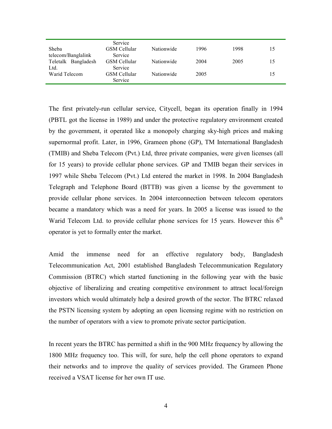|                     | Service             |            |      |      |    |
|---------------------|---------------------|------------|------|------|----|
| Sheba               | GSM Cellular        | Nationwide | 1996 | 1998 | 15 |
| telecom/Banglalink  | Service             |            |      |      |    |
| Teletalk Bangladesh | <b>GSM Cellular</b> | Nationwide | 2004 | 2005 | 15 |
| Ltd.                | Service             |            |      |      |    |
| Warid Telecom       | GSM Cellular        | Nationwide | 2005 |      | 15 |
|                     | Service             |            |      |      |    |

The first privately-run cellular service, Citycell, began its operation finally in 1994 (PBTL got the license in 1989) and under the protective regulatory environment created by the government, it operated like a monopoly charging sky-high prices and making supernormal profit. Later, in 1996, Grameen phone (GP), TM International Bangladesh (TMIB) and Sheba Telecom (Pvt.) Ltd, three private companies, were given licenses (all for 15 years) to provide cellular phone services. GP and TMIB began their services in 1997 while Sheba Telecom (Pvt.) Ltd entered the market in 1998. In 2004 Bangladesh Telegraph and Telephone Board (BTTB) was given a license by the government to provide cellular phone services. In 2004 interconnection between telecom operators became a mandatory which was a need for years. In 2005 a license was issued to the Warid Telecom Ltd. to provide cellular phone services for 15 years. However this  $6<sup>th</sup>$ operator is yet to formally enter the market.

Amid the immense need for an effective regulatory body, Bangladesh Telecommunication Act, 2001 established Bangladesh Telecommunication Regulatory Commission (BTRC) which started functioning in the following year with the basic objective of liberalizing and creating competitive environment to attract local/foreign investors which would ultimately help a desired growth of the sector. The BTRC relaxed the PSTN licensing system by adopting an open licensing regime with no restriction on the number of operators with a view to promote private sector participation.

In recent years the BTRC has permitted a shift in the 900 MHz frequency by allowing the 1800 MHz frequency too. This will, for sure, help the cell phone operators to expand their networks and to improve the quality of services provided. The Grameen Phone received a VSAT license for her own IT use.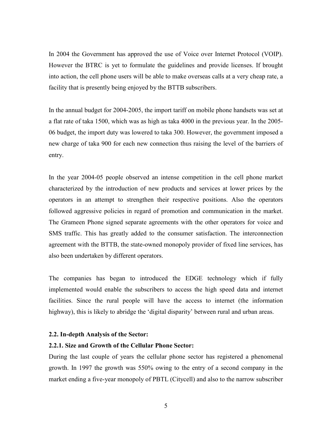In 2004 the Government has approved the use of Voice over Internet Protocol (VOIP). However the BTRC is yet to formulate the guidelines and provide licenses. If brought into action, the cell phone users will be able to make overseas calls at a very cheap rate, a facility that is presently being enjoyed by the BTTB subscribers.

In the annual budget for 2004-2005, the import tariff on mobile phone handsets was set at a flat rate of taka 1500, which was as high as taka 4000 in the previous year. In the 2005- 06 budget, the import duty was lowered to taka 300. However, the government imposed a new charge of taka 900 for each new connection thus raising the level of the barriers of entry.

In the year 2004-05 people observed an intense competition in the cell phone market characterized by the introduction of new products and services at lower prices by the operators in an attempt to strengthen their respective positions. Also the operators followed aggressive policies in regard of promotion and communication in the market. The Grameen Phone signed separate agreements with the other operators for voice and SMS traffic. This has greatly added to the consumer satisfaction. The interconnection agreement with the BTTB, the state-owned monopoly provider of fixed line services, has also been undertaken by different operators.

The companies has began to introduced the EDGE technology which if fully implemented would enable the subscribers to access the high speed data and internet facilities. Since the rural people will have the access to internet (the information highway), this is likely to abridge the 'digital disparity' between rural and urban areas.

#### 2.2. In-depth Analysis of the Sector:

## 2.2.1. Size and Growth of the Cellular Phone Sector:

During the last couple of years the cellular phone sector has registered a phenomenal growth. In 1997 the growth was 550% owing to the entry of a second company in the market ending a five-year monopoly of PBTL (Citycell) and also to the narrow subscriber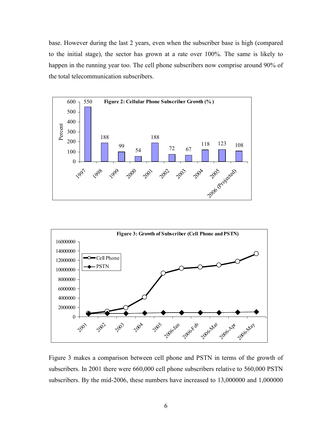base. However during the last 2 years, even when the subscriber base is high (compared to the initial stage), the sector has grown at a rate over 100%. The same is likely to happen in the running year too. The cell phone subscribers now comprise around 90% of the total telecommunication subscribers.





Figure 3 makes a comparison between cell phone and PSTN in terms of the growth of subscribers. In 2001 there were 660,000 cell phone subscribers relative to 560,000 PSTN subscribers. By the mid-2006, these numbers have increased to 13,000000 and 1,000000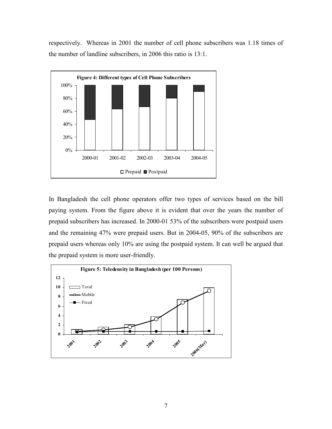respectively. Whereas in 2001 the number of cell phone subscribers was 1.18 times of the number of landline subscribers, in 2006 this ratio is 13:1.



In Bangladesh the cell phone operators offer two types of services based on the bill paying system. From the figure above it is evident that over the years the number of prepaid subscribers has increased. In 2000-01 53% of the subscribers were postpaid users and the remaining 47% were prepaid users. But in 2004-05, 90% of the subscribers are prepaid users whereas only 10% are using the postpaid system. It can well be argued that the prepaid system is more user-friendly.

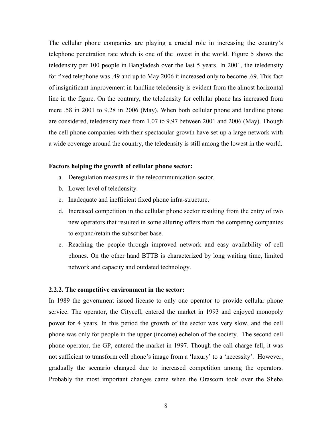The cellular phone companies are playing a crucial role in increasing the country's telephone penetration rate which is one of the lowest in the world. Figure 5 shows the teledensity per 100 people in Bangladesh over the last 5 years. In 2001, the teledensity for fixed telephone was .49 and up to May 2006 it increased only to become .69. This fact of insignificant improvement in landline teledensity is evident from the almost horizontal line in the figure. On the contrary, the teledensity for cellular phone has increased from mere .58 in 2001 to 9.28 in 2006 (May). When both cellular phone and landline phone are considered, teledensity rose from 1.07 to 9.97 between 2001 and 2006 (May). Though the cell phone companies with their spectacular growth have set up a large network with a wide coverage around the country, the teledensity is still among the lowest in the world.

#### Factors helping the growth of cellular phone sector:

- a. Deregulation measures in the telecommunication sector.
- b. Lower level of teledensity.
- c. Inadequate and inefficient fixed phone infra-structure.
- d. Increased competition in the cellular phone sector resulting from the entry of two new operators that resulted in some alluring offers from the competing companies to expand/retain the subscriber base.
- e. Reaching the people through improved network and easy availability of cell phones. On the other hand BTTB is characterized by long waiting time, limited network and capacity and outdated technology.

### 2.2.2. The competitive environment in the sector:

In 1989 the government issued license to only one operator to provide cellular phone service. The operator, the Citycell, entered the market in 1993 and enjoyed monopoly power for 4 years. In this period the growth of the sector was very slow, and the cell phone was only for people in the upper (income) echelon of the society. The second cell phone operator, the GP, entered the market in 1997. Though the call charge fell, it was not sufficient to transform cell phone's image from a 'luxury' to a 'necessity'. However, gradually the scenario changed due to increased competition among the operators. Probably the most important changes came when the Orascom took over the Sheba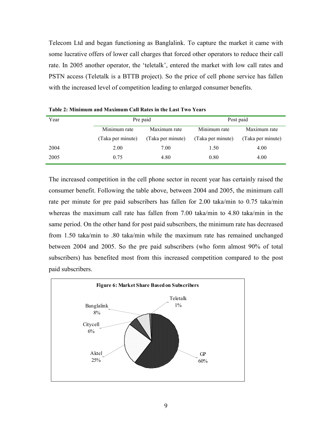Telecom Ltd and began functioning as Banglalink. To capture the market it came with some lucrative offers of lower call charges that forced other operators to reduce their call rate. In 2005 another operator, the 'teletalk', entered the market with low call rates and PSTN access (Teletalk is a BTTB project). So the price of cell phone service has fallen with the increased level of competition leading to enlarged consumer benefits.

| Year | Pre paid          |                   | Post paid         |                   |  |
|------|-------------------|-------------------|-------------------|-------------------|--|
|      | Minimum rate      | Maximum rate      | Minimum rate      | Maximum rate      |  |
|      | (Taka per minute) | (Taka per minute) | (Taka per minute) | (Taka per minute) |  |
| 2004 | 2.00              | 7.00              | 1.50              | 4.00              |  |
| 2005 | 0.75              | 4.80              | 0.80              | 4.00              |  |

Table 2: Minimum and Maximum Call Rates in the Last Two Years

The increased competition in the cell phone sector in recent year has certainly raised the consumer benefit. Following the table above, between 2004 and 2005, the minimum call rate per minute for pre paid subscribers has fallen for 2.00 taka/min to 0.75 taka/min whereas the maximum call rate has fallen from 7.00 taka/min to 4.80 taka/min in the same period. On the other hand for post paid subscribers, the minimum rate has decreased from 1.50 taka/min to .80 taka/min while the maximum rate has remained unchanged between 2004 and 2005. So the pre paid subscribers (who form almost 90% of total subscribers) has benefited most from this increased competition compared to the post paid subscribers.

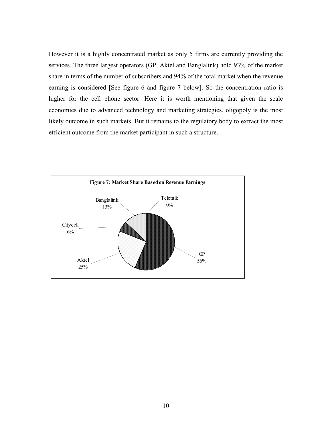However it is a highly concentrated market as only 5 firms are currently providing the services. The three largest operators (GP, Aktel and Banglalink) hold 93% of the market share in terms of the number of subscribers and 94% of the total market when the revenue earning is considered [See figure 6 and figure 7 below]. So the concentration ratio is higher for the cell phone sector. Here it is worth mentioning that given the scale economies due to advanced technology and marketing strategies, oligopoly is the most likely outcome in such markets. But it remains to the regulatory body to extract the most efficient outcome from the market participant in such a structure.

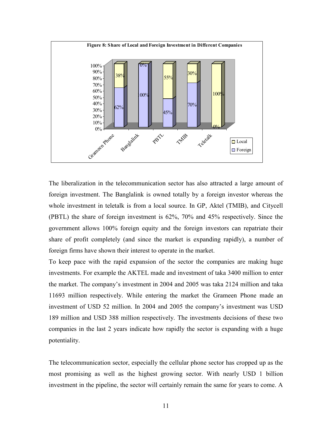

The liberalization in the telecommunication sector has also attracted a large amount of foreign investment. The Banglalink is owned totally by a foreign investor whereas the whole investment in teletalk is from a local source. In GP, Aktel (TMIB), and Citycell (PBTL) the share of foreign investment is 62%, 70% and 45% respectively. Since the government allows 100% foreign equity and the foreign investors can repatriate their share of profit completely (and since the market is expanding rapidly), a number of foreign firms have shown their interest to operate in the market.

To keep pace with the rapid expansion of the sector the companies are making huge investments. For example the AKTEL made and investment of taka 3400 million to enter the market. The company's investment in 2004 and 2005 was taka 2124 million and taka 11693 million respectively. While entering the market the Grameen Phone made an investment of USD 52 million. In 2004 and 2005 the company's investment was USD 189 million and USD 388 million respectively. The investments decisions of these two companies in the last 2 years indicate how rapidly the sector is expanding with a huge potentiality.

The telecommunication sector, especially the cellular phone sector has cropped up as the most promising as well as the highest growing sector. With nearly USD 1 billion investment in the pipeline, the sector will certainly remain the same for years to come. A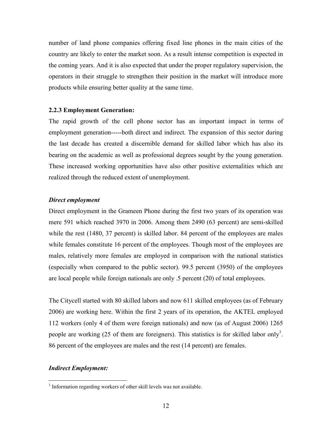number of land phone companies offering fixed line phones in the main cities of the country are likely to enter the market soon. As a result intense competition is expected in the coming years. And it is also expected that under the proper regulatory supervision, the operators in their struggle to strengthen their position in the market will introduce more products while ensuring better quality at the same time.

#### 2.2.3 Employment Generation:

The rapid growth of the cell phone sector has an important impact in terms of employment generation-----both direct and indirect. The expansion of this sector during the last decade has created a discernible demand for skilled labor which has also its bearing on the academic as well as professional degrees sought by the young generation. These increased working opportunities have also other positive externalities which are realized through the reduced extent of unemployment.

#### Direct employment

Direct employment in the Grameen Phone during the first two years of its operation was mere 591 which reached 3970 in 2006. Among them 2490 (63 percent) are semi-skilled while the rest (1480, 37 percent) is skilled labor. 84 percent of the employees are males while females constitute 16 percent of the employees. Though most of the employees are males, relatively more females are employed in comparison with the national statistics (especially when compared to the public sector). 99.5 percent (3950) of the employees are local people while foreign nationals are only .5 percent (20) of total employees.

The Citycell started with 80 skilled labors and now 611 skilled employees (as of February 2006) are working here. Within the first 2 years of its operation, the AKTEL employed 112 workers (only 4 of them were foreign nationals) and now (as of August 2006) 1265 people are working  $(25 \text{ of them are foreigners})$ . This statistics is for skilled labor only<sup>1</sup>. 86 percent of the employees are males and the rest (14 percent) are females.

#### Indirect Employment:

 $\overline{a}$ 

<sup>&</sup>lt;sup>1</sup> Information regarding workers of other skill levels was not available.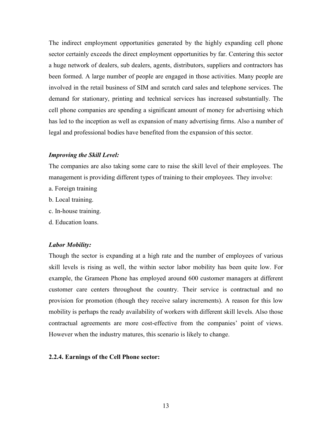The indirect employment opportunities generated by the highly expanding cell phone sector certainly exceeds the direct employment opportunities by far. Centering this sector a huge network of dealers, sub dealers, agents, distributors, suppliers and contractors has been formed. A large number of people are engaged in those activities. Many people are involved in the retail business of SIM and scratch card sales and telephone services. The demand for stationary, printing and technical services has increased substantially. The cell phone companies are spending a significant amount of money for advertising which has led to the inception as well as expansion of many advertising firms. Also a number of legal and professional bodies have benefited from the expansion of this sector.

### Improving the Skill Level:

The companies are also taking some care to raise the skill level of their employees. The management is providing different types of training to their employees. They involve:

- a. Foreign training
- b. Local training.
- c. In-house training.
- d. Education loans.

#### Labor Mobility:

Though the sector is expanding at a high rate and the number of employees of various skill levels is rising as well, the within sector labor mobility has been quite low. For example, the Grameen Phone has employed around 600 customer managers at different customer care centers throughout the country. Their service is contractual and no provision for promotion (though they receive salary increments). A reason for this low mobility is perhaps the ready availability of workers with different skill levels. Also those contractual agreements are more cost-effective from the companies' point of views. However when the industry matures, this scenario is likely to change.

#### 2.2.4. Earnings of the Cell Phone sector: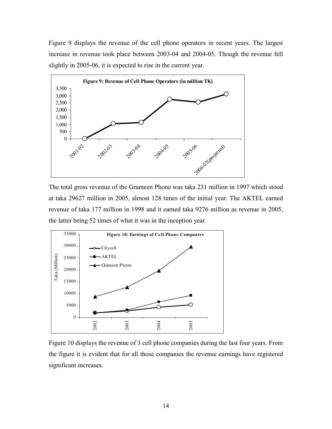Figure 9 displays the revenue of the cell phone operators in recent years. The largest increase in revenue took place between 2003-04 and 2004-05. Though the revenue fell slightly in 2005-06, it is expected to rise in the current year.



The total gross revenue of the Grameen Phone was taka 231 million in 1997 which stood at taka 29627 million in 2005, almost 128 times of the initial year. The AKTEL earned revenue of taka 177 million in 1998 and it earned taka 9276 million as revenue in 2005, the latter being 52 times of what it was in the inception year.



Figure 10 displays the revenue of 3 cell phone companies during the last four years. From the figure it is evident that for all those companies the revenue earnings have registered significant increases.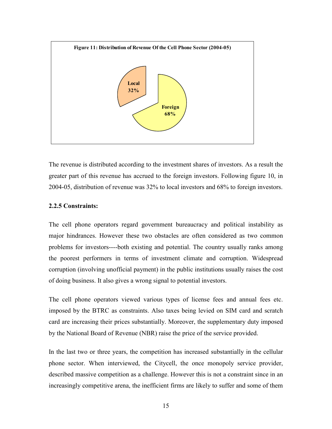

The revenue is distributed according to the investment shares of investors. As a result the greater part of this revenue has accrued to the foreign investors. Following figure 10, in 2004-05, distribution of revenue was 32% to local investors and 68% to foreign investors.

#### 2.2.5 Constraints:

The cell phone operators regard government bureaucracy and political instability as major hindrances. However these two obstacles are often considered as two common problems for investors----both existing and potential. The country usually ranks among the poorest performers in terms of investment climate and corruption. Widespread corruption (involving unofficial payment) in the public institutions usually raises the cost of doing business. It also gives a wrong signal to potential investors.

The cell phone operators viewed various types of license fees and annual fees etc. imposed by the BTRC as constraints. Also taxes being levied on SIM card and scratch card are increasing their prices substantially. Moreover, the supplementary duty imposed by the National Board of Revenue (NBR) raise the price of the service provided.

In the last two or three years, the competition has increased substantially in the cellular phone sector. When interviewed, the Citycell, the once monopoly service provider, described massive competition as a challenge. However this is not a constraint since in an increasingly competitive arena, the inefficient firms are likely to suffer and some of them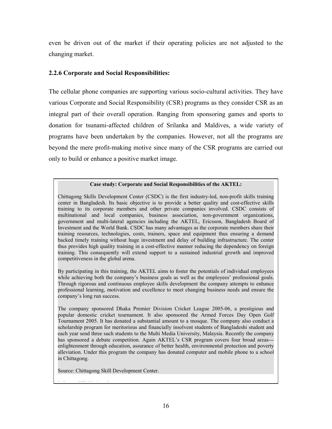even be driven out of the market if their operating policies are not adjusted to the changing market.

# 2.2.6 Corporate and Social Responsibilities:

The cellular phone companies are supporting various socio-cultural activities. They have various Corporate and Social Responsibility (CSR) programs as they consider CSR as an integral part of their overall operation. Ranging from sponsoring games and sports to donation for tsunami-affected children of Srilanka and Maldives, a wide variety of programs have been undertaken by the companies. However, not all the programs are beyond the mere profit-making motive since many of the CSR programs are carried out only to build or enhance a positive market image.

#### Case study: Corporate and Social Responsibilities of the AKTEL:

Chittagong Skills Development Center (CSDC) is the first industry-led, non-profit skills training center in Bangladesh. Its basic objective is to provide a better quality and cost-effective skills training to its corporate members and other private companies involved. CSDC consists of multinational and local companies, business association, non-government organizations, government and multi-lateral agencies including the AKTEL, Ericsson, Bangladesh Board of Investment and the World Bank. CSDC has many advantages as the corporate members share their training resources, technologies, costs, trainers, space and equipment thus ensuring a demand backed timely training without huge investment and delay of building infrastructure. The center thus provides high quality training in a cost-effective manner reducing the dependency on foreign training. This consequently will extend support to a sustained industrial growth and improved competitiveness in the global arena.

By participating in this training, the AKTEL aims to foster the potentials of individual employees while achieving both the company's business goals as well as the employees' professional goals. Through rigorous and continuous employee skills development the company attempts to enhance professional learning, motivation and excellence to meet changing business needs and ensure the company's long run success.

The company sponsored Dhaka Premier Division Cricket League 2005-06, a prestigious and popular domestic cricket tournament. It also sponsored the Armed Forces Day Open Golf Tournament 2005. It has donated a substantial amount to a mosque. The company also conduct a scholarship program for meritorious and financially insolvent students of Bangladeshi student and each year send three such students to the Multi Media University, Malaysia. Recently the company has sponsored a debate competition. Again AKTEL's CSR program covers four broad areas-- enlightenment through education, assurance of better health, environmental protection and poverty alleviation. Under this program the company has donated computer and mobile phone to a school in Chittagong.

Source: Chittagong Skill Development Center.

3. Inter AKT. Inter AKT. Various Issues.<br>Inter AKT. Various Issues.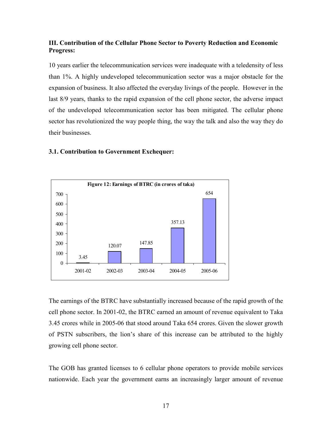## III. Contribution of the Cellular Phone Sector to Poverty Reduction and Economic Progress:

10 years earlier the telecommunication services were inadequate with a teledensity of less than 1%. A highly undeveloped telecommunication sector was a major obstacle for the expansion of business. It also affected the everyday livings of the people. However in the last 8/9 years, thanks to the rapid expansion of the cell phone sector, the adverse impact of the undeveloped telecommunication sector has been mitigated. The cellular phone sector has revolutionized the way people thing, the way the talk and also the way they do their businesses.

# 3.1. Contribution to Government Exchequer:



The earnings of the BTRC have substantially increased because of the rapid growth of the cell phone sector. In 2001-02, the BTRC earned an amount of revenue equivalent to Taka 3.45 crores while in 2005-06 that stood around Taka 654 crores. Given the slower growth of PSTN subscribers, the lion's share of this increase can be attributed to the highly growing cell phone sector.

The GOB has granted licenses to 6 cellular phone operators to provide mobile services nationwide. Each year the government earns an increasingly larger amount of revenue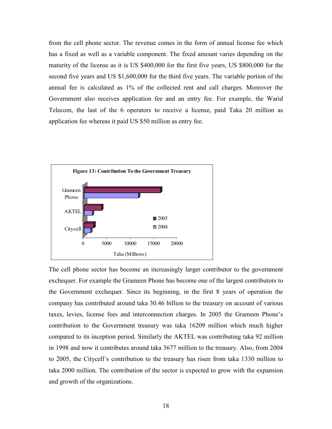from the cell phone sector. The revenue comes in the form of annual license fee which has a fixed as well as a variable component. The fixed amount varies depending on the maturity of the license as it is US \$400,000 for the first five years, US \$800,000 for the second five years and US \$1,600,000 for the third five years. The variable portion of the annual fee is calculated as 1% of the collected rent and call charges. Moreover the Government also receives application fee and an entry fee. For example, the Warid Telecom, the last of the 6 operators to receive a license, paid Taka 20 million as application fee whereas it paid US \$50 million as entry fee.



The cell phone sector has become an increasingly larger contributor to the government exchequer. For example the Grameen Phone has become one of the largest contributors to the Government exchequer. Since its beginning, in the first 8 years of operation the company has contributed around taka 30.46 billion to the treasury on account of various taxes, levies, license fees and interconnection charges. In 2005 the Grameen Phone's contribution to the Government treasury was taka 16209 million which much higher compared to its inception period. Similarly the AKTEL was contributing taka 92 million in 1998 and now it contributes around taka 3677 million to the treasury. Also, from 2004 to 2005, the Citycell's contribution to the treasury has risen from taka 1330 million to taka 2000 million. The contribution of the sector is expected to grow with the expansion and growth of the organizations.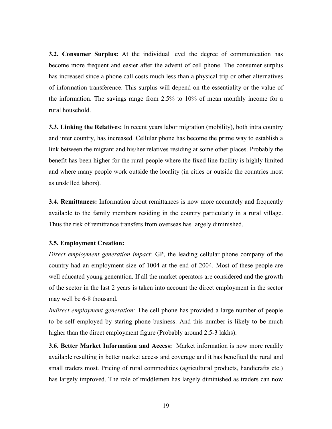3.2. Consumer Surplus: At the individual level the degree of communication has become more frequent and easier after the advent of cell phone. The consumer surplus has increased since a phone call costs much less than a physical trip or other alternatives of information transference. This surplus will depend on the essentiality or the value of the information. The savings range from 2.5% to 10% of mean monthly income for a rural household.

3.3. Linking the Relatives: In recent years labor migration (mobility), both intra country and inter country, has increased. Cellular phone has become the prime way to establish a link between the migrant and his/her relatives residing at some other places. Probably the benefit has been higher for the rural people where the fixed line facility is highly limited and where many people work outside the locality (in cities or outside the countries most as unskilled labors).

**3.4. Remittances:** Information about remittances is now more accurately and frequently available to the family members residing in the country particularly in a rural village. Thus the risk of remittance transfers from overseas has largely diminished.

## 3.5. Employment Creation:

Direct employment generation impact: GP, the leading cellular phone company of the country had an employment size of 1004 at the end of 2004. Most of these people are well educated young generation. If all the market operators are considered and the growth of the sector in the last 2 years is taken into account the direct employment in the sector may well be 6-8 thousand.

Indirect employment generation: The cell phone has provided a large number of people to be self employed by staring phone business. And this number is likely to be much higher than the direct employment figure (Probably around 2.5-3 lakhs).

3.6. Better Market Information and Access: Market information is now more readily available resulting in better market access and coverage and it has benefited the rural and small traders most. Pricing of rural commodities (agricultural products, handicrafts etc.) has largely improved. The role of middlemen has largely diminished as traders can now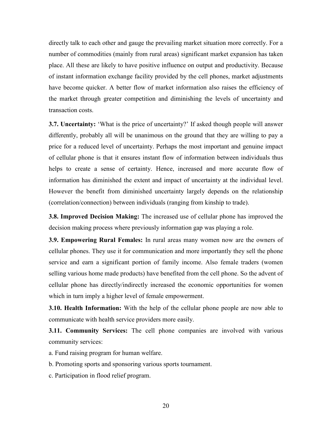directly talk to each other and gauge the prevailing market situation more correctly. For a number of commodities (mainly from rural areas) significant market expansion has taken place. All these are likely to have positive influence on output and productivity. Because of instant information exchange facility provided by the cell phones, market adjustments have become quicker. A better flow of market information also raises the efficiency of the market through greater competition and diminishing the levels of uncertainty and transaction costs.

3.7. Uncertainty: 'What is the price of uncertainty?' If asked though people will answer differently, probably all will be unanimous on the ground that they are willing to pay a price for a reduced level of uncertainty. Perhaps the most important and genuine impact of cellular phone is that it ensures instant flow of information between individuals thus helps to create a sense of certainty. Hence, increased and more accurate flow of information has diminished the extent and impact of uncertainty at the individual level. However the benefit from diminished uncertainty largely depends on the relationship (correlation/connection) between individuals (ranging from kinship to trade).

3.8. Improved Decision Making: The increased use of cellular phone has improved the decision making process where previously information gap was playing a role.

3.9. Empowering Rural Females: In rural areas many women now are the owners of cellular phones. They use it for communication and more importantly they sell the phone service and earn a significant portion of family income. Also female traders (women selling various home made products) have benefited from the cell phone. So the advent of cellular phone has directly/indirectly increased the economic opportunities for women which in turn imply a higher level of female empowerment.

**3.10. Health Information:** With the help of the cellular phone people are now able to communicate with health service providers more easily.

**3.11. Community Services:** The cell phone companies are involved with various community services:

a. Fund raising program for human welfare.

- b. Promoting sports and sponsoring various sports tournament.
- c. Participation in flood relief program.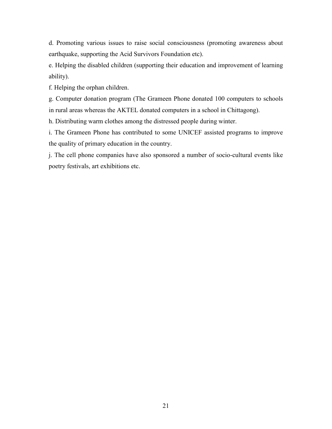d. Promoting various issues to raise social consciousness (promoting awareness about earthquake, supporting the Acid Survivors Foundation etc).

e. Helping the disabled children (supporting their education and improvement of learning ability).

f. Helping the orphan children.

g. Computer donation program (The Grameen Phone donated 100 computers to schools in rural areas whereas the AKTEL donated computers in a school in Chittagong).

h. Distributing warm clothes among the distressed people during winter.

i. The Grameen Phone has contributed to some UNICEF assisted programs to improve the quality of primary education in the country.

j. The cell phone companies have also sponsored a number of socio-cultural events like poetry festivals, art exhibitions etc.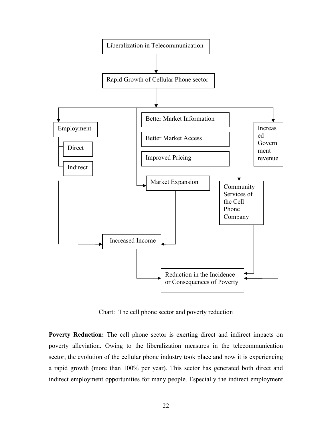

Chart: The cell phone sector and poverty reduction

Poverty Reduction: The cell phone sector is exerting direct and indirect impacts on poverty alleviation. Owing to the liberalization measures in the telecommunication sector, the evolution of the cellular phone industry took place and now it is experiencing a rapid growth (more than 100% per year). This sector has generated both direct and indirect employment opportunities for many people. Especially the indirect employment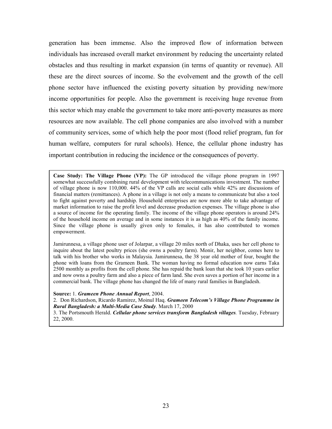generation has been immense. Also the improved flow of information between individuals has increased overall market environment by reducing the uncertainty related obstacles and thus resulting in market expansion (in terms of quantity or revenue). All these are the direct sources of income. So the evolvement and the growth of the cell phone sector have influenced the existing poverty situation by providing new/more income opportunities for people. Also the government is receiving huge revenue from this sector which may enable the government to take more anti-poverty measures as more resources are now available. The cell phone companies are also involved with a number of community services, some of which help the poor most (flood relief program, fun for human welfare, computers for rural schools). Hence, the cellular phone industry has important contribution in reducing the incidence or the consequences of poverty.

Case Study: The Village Phone (VP): The GP introduced the village phone program in 1997 somewhat successfully combining rural development with telecommunications investment. The number of village phone is now 110,000. 44% of the VP calls are social calls while 42% are discussions of financial matters (remittances). A phone in a village is not only a means to communicate but also a tool to fight against poverty and hardship. Household enterprises are now more able to take advantage of market information to raise the profit level and decrease production expenses. The village phone is also a source of income for the operating family. The income of the village phone operators is around 24% of the household income on average and in some instances it is as high as 40% of the family income. Since the village phone is usually given only to females, it has also contributed to women empowerment.

Jamirunnesa, a village phone user of Jolarpar, a village 20 miles north of Dhaka, uses her cell phone to inquire about the latest poultry prices (she owns a poultry farm). Monir, her neighbor, comes here to talk with his brother who works in Malaysia. Jamirunnesa, the 38 year old mother of four, bought the phone with loans from the Grameen Bank. The woman having no formal education now earns Taka 2500 monthly as profits from the cell phone. She has repaid the bank loan that she took 10 years earlier and now owns a poultry farm and also a piece of farm land. She even saves a portion of her income in a commercial bank. The village phone has changed the life of many rural families in Bangladesh.

Source: 1. Grameen Phone Annual Report, 2004.

2. Don Richardson, Ricardo Ramirez, Moinul Haq. Grameen Telecom's Village Phone Programme in Rural Bangladesh: a Multi-Media Case Study. March 17, 2000

3. The Portsmouth Herald. Cellular phone services transform Bangladesh villages. Tuesday, February 22, 2000.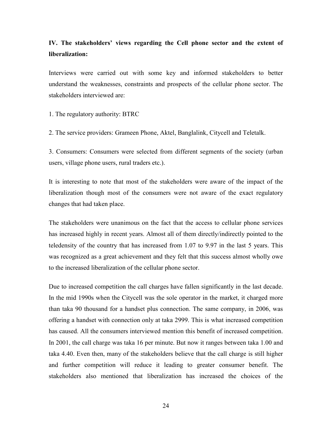# IV. The stakeholders' views regarding the Cell phone sector and the extent of liberalization:

Interviews were carried out with some key and informed stakeholders to better understand the weaknesses, constraints and prospects of the cellular phone sector. The stakeholders interviewed are:

1. The regulatory authority: BTRC

2. The service providers: Grameen Phone, Aktel, Banglalink, Citycell and Teletalk.

3. Consumers: Consumers were selected from different segments of the society (urban users, village phone users, rural traders etc.).

It is interesting to note that most of the stakeholders were aware of the impact of the liberalization though most of the consumers were not aware of the exact regulatory changes that had taken place.

The stakeholders were unanimous on the fact that the access to cellular phone services has increased highly in recent years. Almost all of them directly/indirectly pointed to the teledensity of the country that has increased from 1.07 to 9.97 in the last 5 years. This was recognized as a great achievement and they felt that this success almost wholly owe to the increased liberalization of the cellular phone sector.

Due to increased competition the call charges have fallen significantly in the last decade. In the mid 1990s when the Citycell was the sole operator in the market, it charged more than taka 90 thousand for a handset plus connection. The same company, in 2006, was offering a handset with connection only at taka 2999. This is what increased competition has caused. All the consumers interviewed mention this benefit of increased competition. In 2001, the call charge was taka 16 per minute. But now it ranges between taka 1.00 and taka 4.40. Even then, many of the stakeholders believe that the call charge is still higher and further competition will reduce it leading to greater consumer benefit. The stakeholders also mentioned that liberalization has increased the choices of the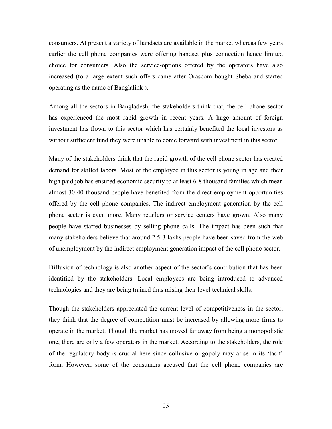consumers. At present a variety of handsets are available in the market whereas few years earlier the cell phone companies were offering handset plus connection hence limited choice for consumers. Also the service-options offered by the operators have also increased (to a large extent such offers came after Orascom bought Sheba and started operating as the name of Banglalink ).

Among all the sectors in Bangladesh, the stakeholders think that, the cell phone sector has experienced the most rapid growth in recent years. A huge amount of foreign investment has flown to this sector which has certainly benefited the local investors as without sufficient fund they were unable to come forward with investment in this sector.

Many of the stakeholders think that the rapid growth of the cell phone sector has created demand for skilled labors. Most of the employee in this sector is young in age and their high paid job has ensured economic security to at least 6-8 thousand families which mean almost 30-40 thousand people have benefited from the direct employment opportunities offered by the cell phone companies. The indirect employment generation by the cell phone sector is even more. Many retailers or service centers have grown. Also many people have started businesses by selling phone calls. The impact has been such that many stakeholders believe that around 2.5-3 lakhs people have been saved from the web of unemployment by the indirect employment generation impact of the cell phone sector.

Diffusion of technology is also another aspect of the sector's contribution that has been identified by the stakeholders. Local employees are being introduced to advanced technologies and they are being trained thus raising their level technical skills.

Though the stakeholders appreciated the current level of competitiveness in the sector, they think that the degree of competition must be increased by allowing more firms to operate in the market. Though the market has moved far away from being a monopolistic one, there are only a few operators in the market. According to the stakeholders, the role of the regulatory body is crucial here since collusive oligopoly may arise in its 'tacit' form. However, some of the consumers accused that the cell phone companies are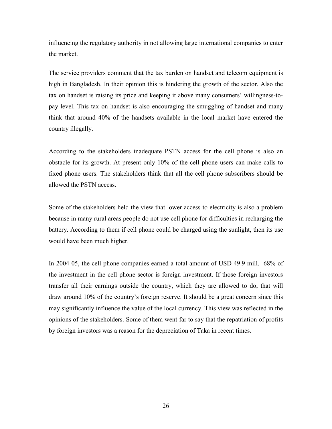influencing the regulatory authority in not allowing large international companies to enter the market.

The service providers comment that the tax burden on handset and telecom equipment is high in Bangladesh. In their opinion this is hindering the growth of the sector. Also the tax on handset is raising its price and keeping it above many consumers' willingness-topay level. This tax on handset is also encouraging the smuggling of handset and many think that around 40% of the handsets available in the local market have entered the country illegally.

According to the stakeholders inadequate PSTN access for the cell phone is also an obstacle for its growth. At present only 10% of the cell phone users can make calls to fixed phone users. The stakeholders think that all the cell phone subscribers should be allowed the PSTN access.

Some of the stakeholders held the view that lower access to electricity is also a problem because in many rural areas people do not use cell phone for difficulties in recharging the battery. According to them if cell phone could be charged using the sunlight, then its use would have been much higher.

In 2004-05, the cell phone companies earned a total amount of USD 49.9 mill. 68% of the investment in the cell phone sector is foreign investment. If those foreign investors transfer all their earnings outside the country, which they are allowed to do, that will draw around 10% of the country's foreign reserve. It should be a great concern since this may significantly influence the value of the local currency. This view was reflected in the opinions of the stakeholders. Some of them went far to say that the repatriation of profits by foreign investors was a reason for the depreciation of Taka in recent times.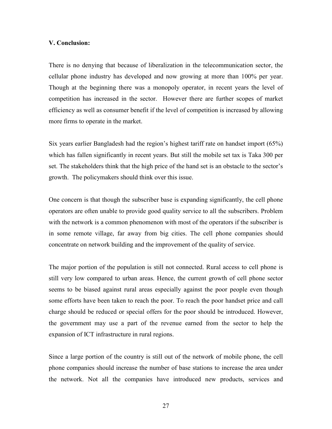#### V. Conclusion:

There is no denying that because of liberalization in the telecommunication sector, the cellular phone industry has developed and now growing at more than 100% per year. Though at the beginning there was a monopoly operator, in recent years the level of competition has increased in the sector. However there are further scopes of market efficiency as well as consumer benefit if the level of competition is increased by allowing more firms to operate in the market.

Six years earlier Bangladesh had the region's highest tariff rate on handset import (65%) which has fallen significantly in recent years. But still the mobile set tax is Taka 300 per set. The stakeholders think that the high price of the hand set is an obstacle to the sector's growth. The policymakers should think over this issue.

One concern is that though the subscriber base is expanding significantly, the cell phone operators are often unable to provide good quality service to all the subscribers. Problem with the network is a common phenomenon with most of the operators if the subscriber is in some remote village, far away from big cities. The cell phone companies should concentrate on network building and the improvement of the quality of service.

The major portion of the population is still not connected. Rural access to cell phone is still very low compared to urban areas. Hence, the current growth of cell phone sector seems to be biased against rural areas especially against the poor people even though some efforts have been taken to reach the poor. To reach the poor handset price and call charge should be reduced or special offers for the poor should be introduced. However, the government may use a part of the revenue earned from the sector to help the expansion of ICT infrastructure in rural regions.

Since a large portion of the country is still out of the network of mobile phone, the cell phone companies should increase the number of base stations to increase the area under the network. Not all the companies have introduced new products, services and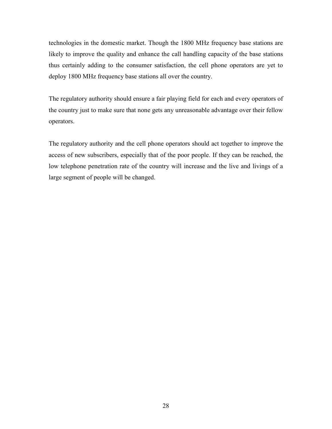technologies in the domestic market. Though the 1800 MHz frequency base stations are likely to improve the quality and enhance the call handling capacity of the base stations thus certainly adding to the consumer satisfaction, the cell phone operators are yet to deploy 1800 MHz frequency base stations all over the country.

The regulatory authority should ensure a fair playing field for each and every operators of the country just to make sure that none gets any unreasonable advantage over their fellow operators.

The regulatory authority and the cell phone operators should act together to improve the access of new subscribers, especially that of the poor people. If they can be reached, the low telephone penetration rate of the country will increase and the live and livings of a large segment of people will be changed.